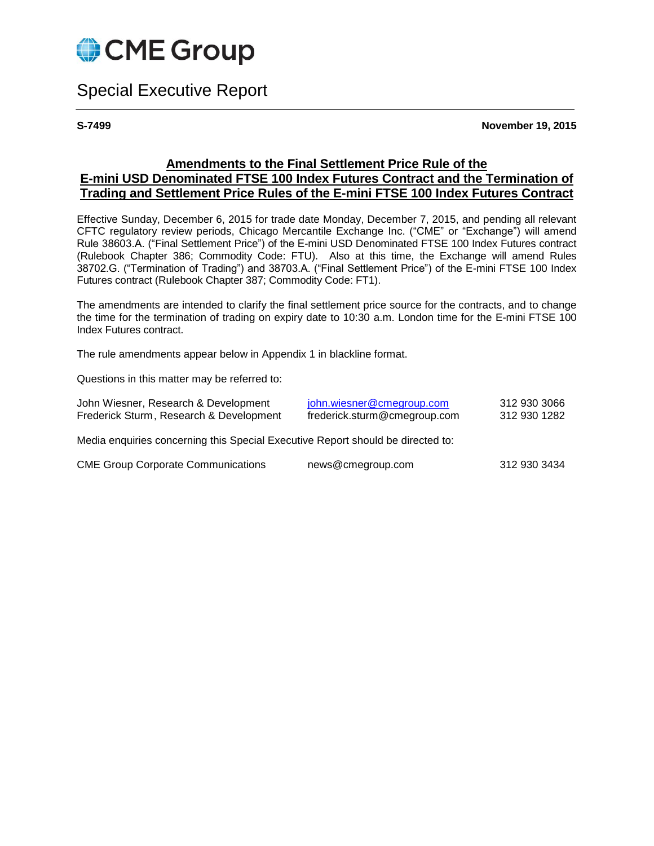

# Special Executive Report

**S-7499 November 19, 2015**

### **Amendments to the Final Settlement Price Rule of the E-mini USD Denominated FTSE 100 Index Futures Contract and the Termination of Trading and Settlement Price Rules of the E-mini FTSE 100 Index Futures Contract**

Effective Sunday, December 6, 2015 for trade date Monday, December 7, 2015, and pending all relevant CFTC regulatory review periods, Chicago Mercantile Exchange Inc. ("CME" or "Exchange") will amend Rule 38603.A. ("Final Settlement Price") of the E-mini USD Denominated FTSE 100 Index Futures contract (Rulebook Chapter 386; Commodity Code: FTU). Also at this time, the Exchange will amend Rules 38702.G. ("Termination of Trading") and 38703.A. ("Final Settlement Price") of the E-mini FTSE 100 Index Futures contract (Rulebook Chapter 387; Commodity Code: FT1).

The amendments are intended to clarify the final settlement price source for the contracts, and to change the time for the termination of trading on expiry date to 10:30 a.m. London time for the E-mini FTSE 100 Index Futures contract.

The rule amendments appear below in Appendix 1 in blackline format.

Questions in this matter may be referred to:

| John Wiesner, Research & Development                                            | john.wiesner@cmegroup.com    | 312 930 3066 |
|---------------------------------------------------------------------------------|------------------------------|--------------|
| Frederick Sturm, Research & Development                                         | frederick.sturm@cmegroup.com | 312 930 1282 |
| Media enquiries concerning this Special Executive Report should be directed to: |                              |              |

| <b>CME Group Corporate Communications</b> | news@cmegroup.com | 312 930 3434 |
|-------------------------------------------|-------------------|--------------|
|-------------------------------------------|-------------------|--------------|